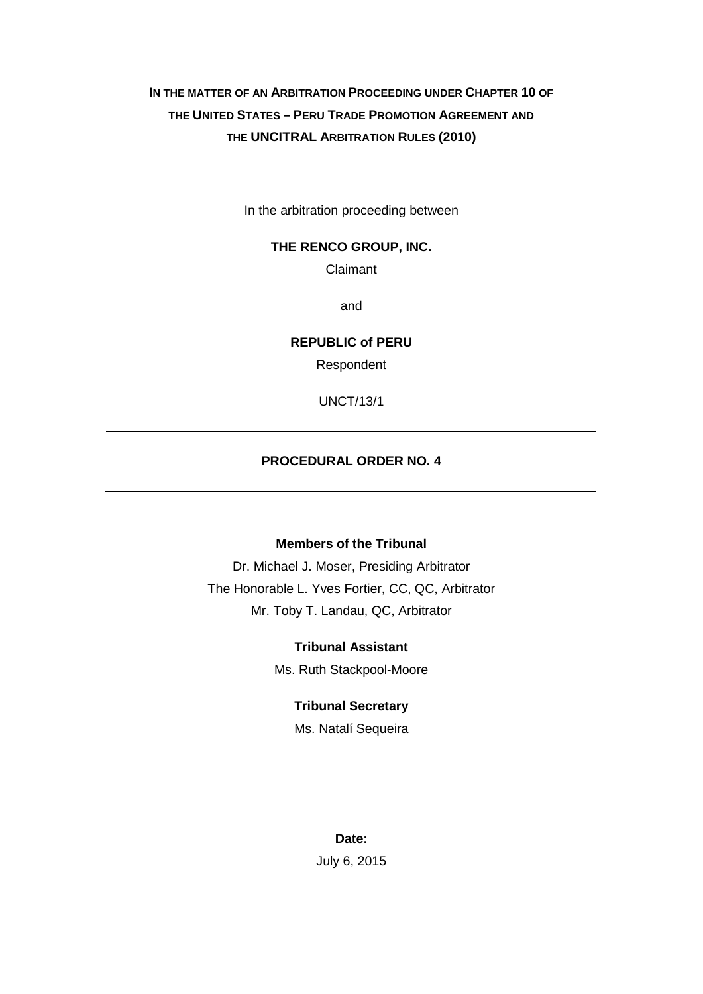# **IN THE MATTER OF AN ARBITRATION PROCEEDING UNDER CHAPTER 10 OF THE UNITED STATES – PERU TRADE PROMOTION AGREEMENT AND THE UNCITRAL ARBITRATION RULES (2010)**

In the arbitration proceeding between

#### **THE RENCO GROUP, INC.**

Claimant

and

**REPUBLIC of PERU**

Respondent

UNCT/13/1

# **PROCEDURAL ORDER NO. 4**

## **Members of the Tribunal**

Dr. Michael J. Moser, Presiding Arbitrator The Honorable L. Yves Fortier, CC, QC, Arbitrator Mr. Toby T. Landau, QC, Arbitrator

#### **Tribunal Assistant**

Ms. Ruth Stackpool-Moore

#### **Tribunal Secretary**

Ms. Natalí Sequeira

#### **Date:**

July 6, 2015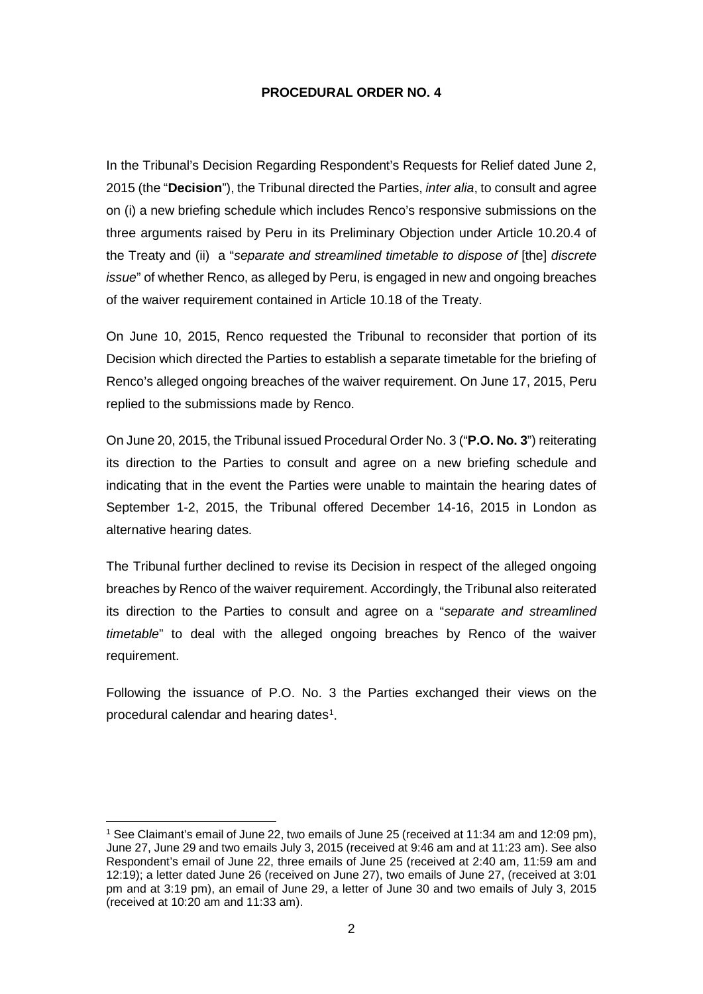### **PROCEDURAL ORDER NO. 4**

In the Tribunal's Decision Regarding Respondent's Requests for Relief dated June 2, 2015 (the "**Decision**"), the Tribunal directed the Parties, *inter alia*, to consult and agree on (i) a new briefing schedule which includes Renco's responsive submissions on the three arguments raised by Peru in its Preliminary Objection under Article 10.20.4 of the Treaty and (ii) a "*separate and streamlined timetable to dispose of* [the] *discrete issue*" of whether Renco, as alleged by Peru, is engaged in new and ongoing breaches of the waiver requirement contained in Article 10.18 of the Treaty.

On June 10, 2015, Renco requested the Tribunal to reconsider that portion of its Decision which directed the Parties to establish a separate timetable for the briefing of Renco's alleged ongoing breaches of the waiver requirement. On June 17, 2015, Peru replied to the submissions made by Renco.

On June 20, 2015, the Tribunal issued Procedural Order No. 3 ("**P.O. No. 3**") reiterating its direction to the Parties to consult and agree on a new briefing schedule and indicating that in the event the Parties were unable to maintain the hearing dates of September 1-2, 2015, the Tribunal offered December 14-16, 2015 in London as alternative hearing dates.

The Tribunal further declined to revise its Decision in respect of the alleged ongoing breaches by Renco of the waiver requirement. Accordingly, the Tribunal also reiterated its direction to the Parties to consult and agree on a "*separate and streamlined timetable*" to deal with the alleged ongoing breaches by Renco of the waiver requirement.

Following the issuance of P.O. No. 3 the Parties exchanged their views on the procedural calendar and hearing dates<sup>1</sup>.

<u>.</u>

<sup>&</sup>lt;sup>1</sup> See Claimant's email of June 22, two emails of June 25 (received at 11:34 am and 12:09 pm). June 27, June 29 and two emails July 3, 2015 (received at 9:46 am and at 11:23 am). See also Respondent's email of June 22, three emails of June 25 (received at 2:40 am, 11:59 am and 12:19); a letter dated June 26 (received on June 27), two emails of June 27, (received at 3:01 pm and at 3:19 pm), an email of June 29, a letter of June 30 and two emails of July 3, 2015 (received at 10:20 am and 11:33 am).